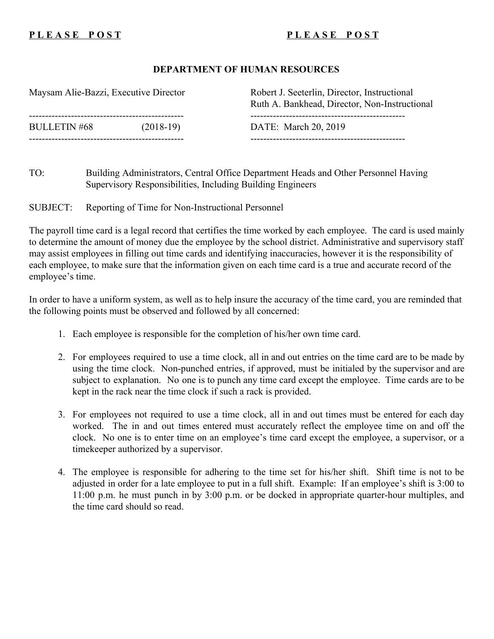## PLEASE POST PUERSE POST

## **DEPARTMENT OF HUMAN RESOURCES**

| Maysam Alie-Bazzi, Executive Director |             | Robert J. Seeterlin, Director, Instructional<br>Ruth A. Bankhead, Director, Non-Instructional |
|---------------------------------------|-------------|-----------------------------------------------------------------------------------------------|
| <b>BULLETIN #68</b>                   | $(2018-19)$ | DATE: March 20, 2019                                                                          |

TO: Building Administrators, Central Office Department Heads and Other Personnel Having Supervisory Responsibilities, Including Building Engineers

SUBJECT: Reporting of Time for Non-Instructional Personnel

The payroll time card is a legal record that certifies the time worked by each employee. The card is used mainly to determine the amount of money due the employee by the school district. Administrative and supervisory staff may assist employees in filling out time cards and identifying inaccuracies, however it is the responsibility of each employee, to make sure that the information given on each time card is a true and accurate record of the employee's time.

In order to have a uniform system, as well as to help insure the accuracy of the time card, you are reminded that the following points must be observed and followed by all concerned:

- 1. Each employee is responsible for the completion of his/her own time card.
- 2. For employees required to use a time clock, all in and out entries on the time card are to be made by using the time clock. Non-punched entries, if approved, must be initialed by the supervisor and are subject to explanation. No one is to punch any time card except the employee. Time cards are to be kept in the rack near the time clock if such a rack is provided.
- 3. For employees not required to use a time clock, all in and out times must be entered for each day worked. The in and out times entered must accurately reflect the employee time on and off the clock. No one is to enter time on an employee's time card except the employee, a supervisor, or a timekeeper authorized by a supervisor.
- 4. The employee is responsible for adhering to the time set for his/her shift. Shift time is not to be adjusted in order for a late employee to put in a full shift. Example: If an employee's shift is 3:00 to 11:00 p.m. he must punch in by 3:00 p.m. or be docked in appropriate quarter-hour multiples, and the time card should so read.